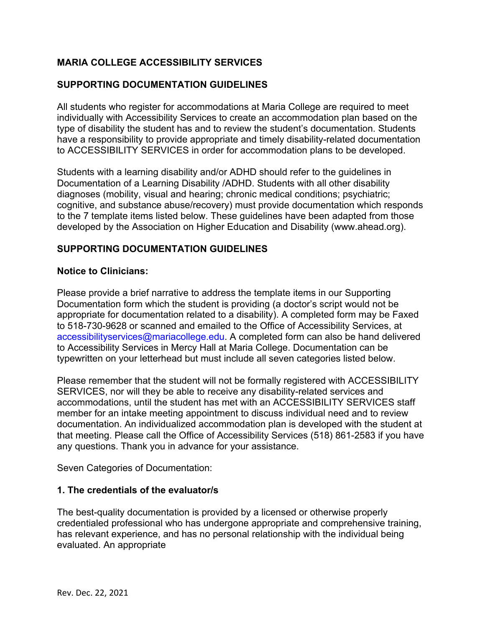# **MARIA COLLEGE ACCESSIBILITY SERVICES**

### **SUPPORTING DOCUMENTATION GUIDELINES**

All students who register for accommodations at Maria College are required to meet individually with Accessibility Services to create an accommodation plan based on the type of disability the student has and to review the student's documentation. Students have a responsibility to provide appropriate and timely disability-related documentation to ACCESSIBILITY SERVICES in order for accommodation plans to be developed.

Students with a learning disability and/or ADHD should refer to the guidelines in Documentation of a Learning Disability /ADHD. Students with all other disability diagnoses (mobility, visual and hearing; chronic medical conditions; psychiatric; cognitive, and substance abuse/recovery) must provide documentation which responds to the 7 template items listed below. These guidelines have been adapted from those developed by the Association on Higher Education and Disability (www.ahead.org).

### **SUPPORTING DOCUMENTATION GUIDELINES**

#### **Notice to Clinicians:**

Please provide a brief narrative to address the template items in our Supporting Documentation form which the student is providing (a doctor's script would not be appropriate for documentation related to a disability). A completed form may be Faxed to 518-730-9628 or scanned and emailed to the Office of Accessibility Services, at accessibilityservices@mariacollege.edu. A completed form can also be hand delivered to Accessibility Services in Mercy Hall at Maria College. Documentation can be typewritten on your letterhead but must include all seven categories listed below.

Please remember that the student will not be formally registered with ACCESSIBILITY SERVICES, nor will they be able to receive any disability-related services and accommodations, until the student has met with an ACCESSIBILITY SERVICES staff member for an intake meeting appointment to discuss individual need and to review documentation. An individualized accommodation plan is developed with the student at that meeting. Please call the Office of Accessibility Services (518) 861-2583 if you have any questions. Thank you in advance for your assistance.

Seven Categories of Documentation:

#### **1. The credentials of the evaluator/s**

The best-quality documentation is provided by a licensed or otherwise properly credentialed professional who has undergone appropriate and comprehensive training, has relevant experience, and has no personal relationship with the individual being evaluated. An appropriate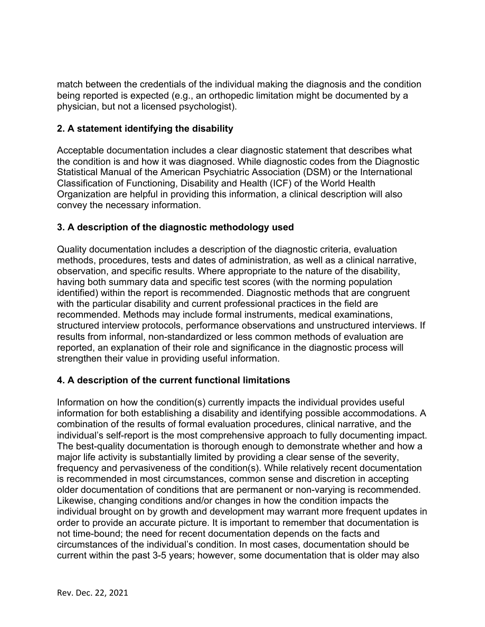match between the credentials of the individual making the diagnosis and the condition being reported is expected (e.g., an orthopedic limitation might be documented by a physician, but not a licensed psychologist).

# **2. A statement identifying the disability**

Acceptable documentation includes a clear diagnostic statement that describes what the condition is and how it was diagnosed. While diagnostic codes from the Diagnostic Statistical Manual of the American Psychiatric Association (DSM) or the International Classification of Functioning, Disability and Health (ICF) of the World Health Organization are helpful in providing this information, a clinical description will also convey the necessary information.

# **3. A description of the diagnostic methodology used**

Quality documentation includes a description of the diagnostic criteria, evaluation methods, procedures, tests and dates of administration, as well as a clinical narrative, observation, and specific results. Where appropriate to the nature of the disability, having both summary data and specific test scores (with the norming population identified) within the report is recommended. Diagnostic methods that are congruent with the particular disability and current professional practices in the field are recommended. Methods may include formal instruments, medical examinations, structured interview protocols, performance observations and unstructured interviews. If results from informal, non-standardized or less common methods of evaluation are reported, an explanation of their role and significance in the diagnostic process will strengthen their value in providing useful information.

# **4. A description of the current functional limitations**

Information on how the condition(s) currently impacts the individual provides useful information for both establishing a disability and identifying possible accommodations. A combination of the results of formal evaluation procedures, clinical narrative, and the individual's self-report is the most comprehensive approach to fully documenting impact. The best-quality documentation is thorough enough to demonstrate whether and how a major life activity is substantially limited by providing a clear sense of the severity, frequency and pervasiveness of the condition(s). While relatively recent documentation is recommended in most circumstances, common sense and discretion in accepting older documentation of conditions that are permanent or non-varying is recommended. Likewise, changing conditions and/or changes in how the condition impacts the individual brought on by growth and development may warrant more frequent updates in order to provide an accurate picture. It is important to remember that documentation is not time-bound; the need for recent documentation depends on the facts and circumstances of the individual's condition. In most cases, documentation should be current within the past 3-5 years; however, some documentation that is older may also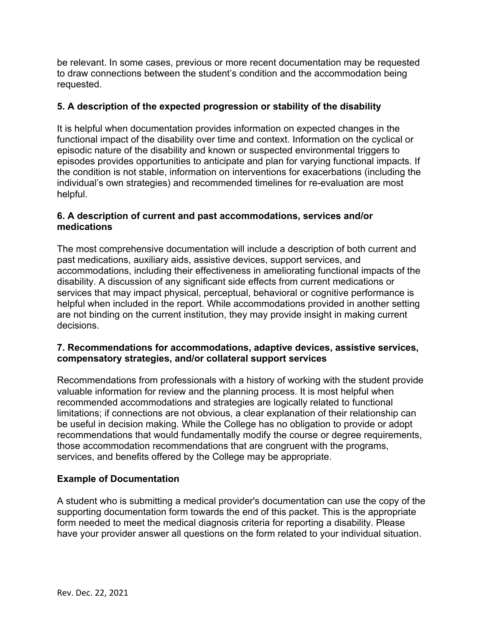be relevant. In some cases, previous or more recent documentation may be requested to draw connections between the student's condition and the accommodation being requested.

# **5. A description of the expected progression or stability of the disability**

It is helpful when documentation provides information on expected changes in the functional impact of the disability over time and context. Information on the cyclical or episodic nature of the disability and known or suspected environmental triggers to episodes provides opportunities to anticipate and plan for varying functional impacts. If the condition is not stable, information on interventions for exacerbations (including the individual's own strategies) and recommended timelines for re-evaluation are most helpful.

### **6. A description of current and past accommodations, services and/or medications**

The most comprehensive documentation will include a description of both current and past medications, auxiliary aids, assistive devices, support services, and accommodations, including their effectiveness in ameliorating functional impacts of the disability. A discussion of any significant side effects from current medications or services that may impact physical, perceptual, behavioral or cognitive performance is helpful when included in the report. While accommodations provided in another setting are not binding on the current institution, they may provide insight in making current decisions.

### **7. Recommendations for accommodations, adaptive devices, assistive services, compensatory strategies, and/or collateral support services**

Recommendations from professionals with a history of working with the student provide valuable information for review and the planning process. It is most helpful when recommended accommodations and strategies are logically related to functional limitations; if connections are not obvious, a clear explanation of their relationship can be useful in decision making. While the College has no obligation to provide or adopt recommendations that would fundamentally modify the course or degree requirements, those accommodation recommendations that are congruent with the programs, services, and benefits offered by the College may be appropriate.

# **Example of Documentation**

A student who is submitting a medical provider's documentation can use the copy of the supporting documentation form towards the end of this packet. This is the appropriate form needed to meet the medical diagnosis criteria for reporting a disability. Please have your provider answer all questions on the form related to your individual situation.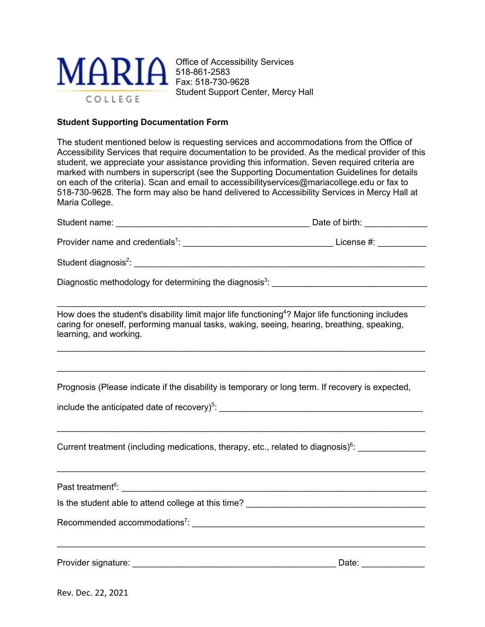

Office of Accessibility Services 518-861-2583 Fax: 518-730-9628 Student Support Center, Mercy Hall

#### **Student Supporting Documentation Form**

The student mentioned below is requesting services and accommodations from the Office of Accessibility Services that require documentation to be provided. As the medical provider of this student, we appreciate your assistance providing this information. Seven required criteria are marked with numbers in superscript (see the Supporting Documentation Guidelines for details on each of the criteria). Scan and email to accessibilityservices@mariacollege.edu or fax to 518-730-9628. The form may also be hand delivered to Accessibility Services in Mercy Hall at Maria College.

| How does the student's disability limit major life functioning <sup>4</sup> ? Major life functioning includes<br>caring for oneself, performing manual tasks, waking, seeing, hearing, breathing, speaking,<br>learning, and working. |                     |
|---------------------------------------------------------------------------------------------------------------------------------------------------------------------------------------------------------------------------------------|---------------------|
| Prognosis (Please indicate if the disability is temporary or long term. If recovery is expected,                                                                                                                                      |                     |
|                                                                                                                                                                                                                                       |                     |
| ,我们也不会有什么。""我们的人,我们也不会有什么?""我们的人,我们也不会有什么?""我们的人,我们也不会有什么?""我们的人,我们也不会有什么?""我们的人<br>Current treatment (including medications, therapy, etc., related to diagnosis) <sup>6</sup> : ________________                                    |                     |
|                                                                                                                                                                                                                                       |                     |
|                                                                                                                                                                                                                                       |                     |
|                                                                                                                                                                                                                                       |                     |
| ,我们也不会有什么。""我们的人,我们也不会有什么?""我们的人,我们也不会有什么?""我们的人,我们也不会有什么?""我们的人,我们也不会有什么?""我们的人                                                                                                                                                      | Date: _____________ |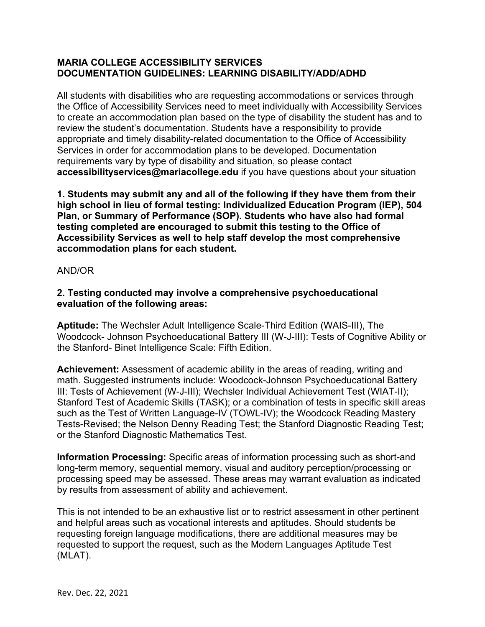### **MARIA COLLEGE ACCESSIBILITY SERVICES DOCUMENTATION GUIDELINES: LEARNING DISABILITY/ADD/ADHD**

All students with disabilities who are requesting accommodations or services through the Office of Accessibility Services need to meet individually with Accessibility Services to create an accommodation plan based on the type of disability the student has and to review the student's documentation. Students have a responsibility to provide appropriate and timely disability-related documentation to the Office of Accessibility Services in order for accommodation plans to be developed. Documentation requirements vary by type of disability and situation, so please contact **accessibilityservices@mariacollege.edu** if you have questions about your situation

**1. Students may submit any and all of the following if they have them from their high school in lieu of formal testing: Individualized Education Program (IEP), 504 Plan, or Summary of Performance (SOP). Students who have also had formal testing completed are encouraged to submit this testing to the Office of Accessibility Services as well to help staff develop the most comprehensive accommodation plans for each student.** 

#### AND/OR

### **2. Testing conducted may involve a comprehensive psychoeducational evaluation of the following areas:**

**Aptitude:** The Wechsler Adult Intelligence Scale-Third Edition (WAIS-III), The Woodcock- Johnson Psychoeducational Battery III (W-J-III): Tests of Cognitive Ability or the Stanford- Binet Intelligence Scale: Fifth Edition.

**Achievement:** Assessment of academic ability in the areas of reading, writing and math. Suggested instruments include: Woodcock-Johnson Psychoeducational Battery III: Tests of Achievement (W-J-III); Wechsler Individual Achievement Test (WIAT-II); Stanford Test of Academic Skills (TASK); or a combination of tests in specific skill areas such as the Test of Written Language-IV (TOWL-IV); the Woodcock Reading Mastery Tests-Revised; the Nelson Denny Reading Test; the Stanford Diagnostic Reading Test; or the Stanford Diagnostic Mathematics Test.

**Information Processing:** Specific areas of information processing such as short-and long-term memory, sequential memory, visual and auditory perception/processing or processing speed may be assessed. These areas may warrant evaluation as indicated by results from assessment of ability and achievement.

This is not intended to be an exhaustive list or to restrict assessment in other pertinent and helpful areas such as vocational interests and aptitudes. Should students be requesting foreign language modifications, there are additional measures may be requested to support the request, such as the Modern Languages Aptitude Test (MLAT).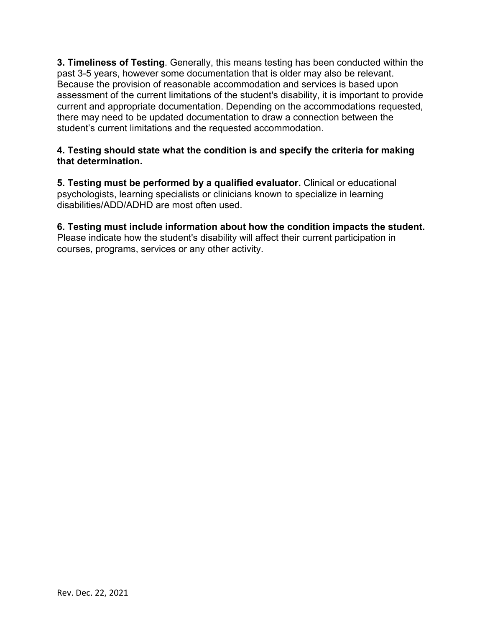**3. Timeliness of Testing**. Generally, this means testing has been conducted within the past 3-5 years, however some documentation that is older may also be relevant. Because the provision of reasonable accommodation and services is based upon assessment of the current limitations of the student's disability, it is important to provide current and appropriate documentation. Depending on the accommodations requested, there may need to be updated documentation to draw a connection between the student's current limitations and the requested accommodation.

### **4. Testing should state what the condition is and specify the criteria for making that determination.**

**5. Testing must be performed by a qualified evaluator.** Clinical or educational psychologists, learning specialists or clinicians known to specialize in learning disabilities/ADD/ADHD are most often used.

#### **6. Testing must include information about how the condition impacts the student.**  Please indicate how the student's disability will affect their current participation in

courses, programs, services or any other activity.